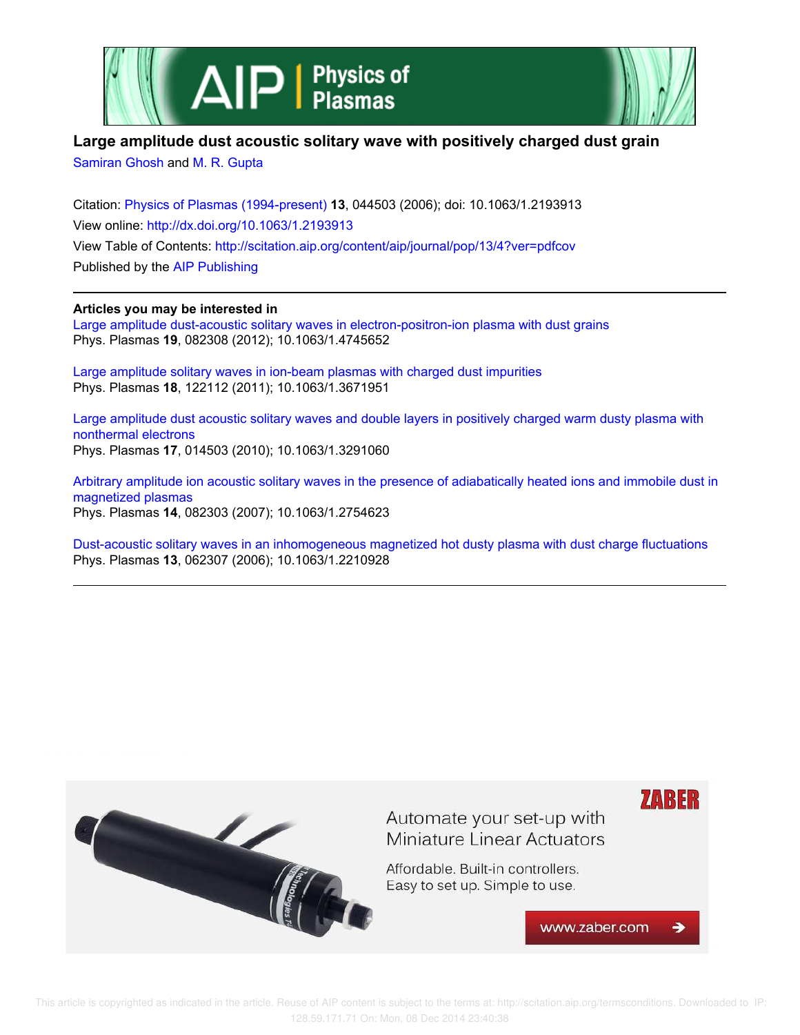



## **Large amplitude dust acoustic solitary wave with positively charged dust grain**

Samiran Ghosh and M. R. Gupta

Citation: Physics of Plasmas (1994-present) **13**, 044503 (2006); doi: 10.1063/1.2193913 View online: http://dx.doi.org/10.1063/1.2193913 View Table of Contents: http://scitation.aip.org/content/aip/journal/pop/13/4?ver=pdfcov Published by the AIP Publishing

**Articles you may be interested in**

Large amplitude dust-acoustic solitary waves in electron-positron-ion plasma with dust grains Phys. Plasmas **19**, 082308 (2012); 10.1063/1.4745652

Large amplitude solitary waves in ion-beam plasmas with charged dust impurities Phys. Plasmas **18**, 122112 (2011); 10.1063/1.3671951

Large amplitude dust acoustic solitary waves and double layers in positively charged warm dusty plasma with nonthermal electrons Phys. Plasmas **17**, 014503 (2010); 10.1063/1.3291060

Arbitrary amplitude ion acoustic solitary waves in the presence of adiabatically heated ions and immobile dust in magnetized plasmas Phys. Plasmas **14**, 082303 (2007); 10.1063/1.2754623

Dust-acoustic solitary waves in an inhomogeneous magnetized hot dusty plasma with dust charge fluctuations Phys. Plasmas **13**, 062307 (2006); 10.1063/1.2210928

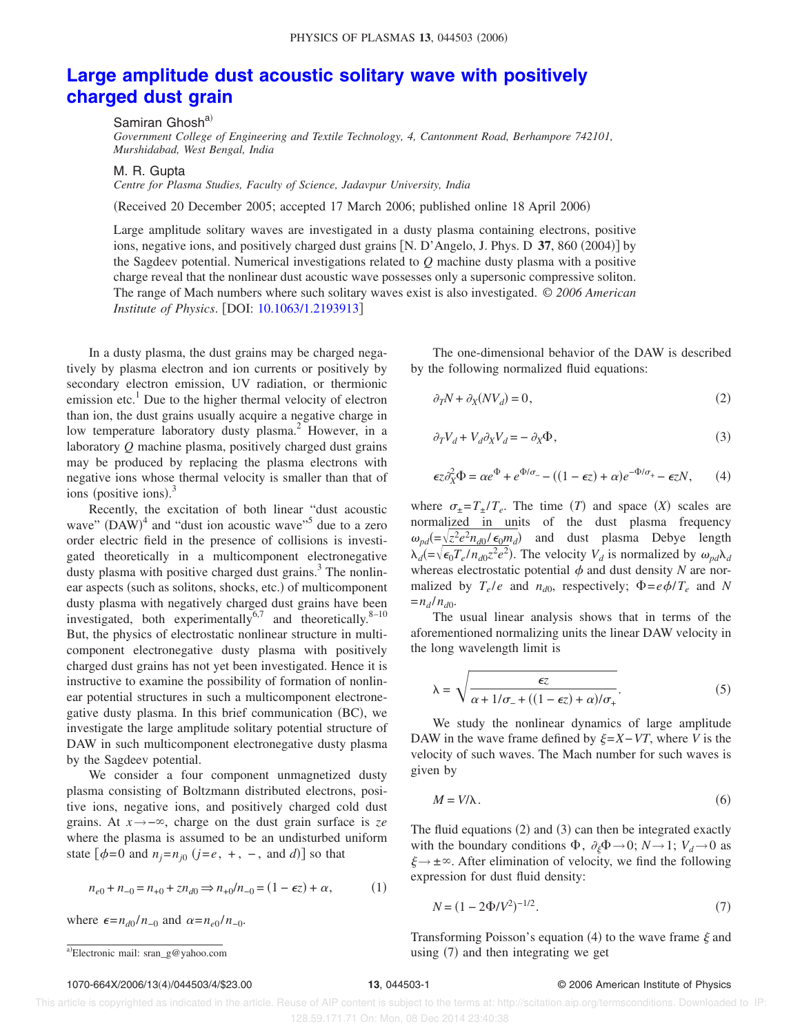## **Large amplitude dust acoustic solitary wave with positively charged dust grain**

Samiran Ghosh<sup>a)</sup>

*Government College of Engineering and Textile Technology, 4, Cantonment Road, Berhampore 742101, Murshidabad, West Bengal, India*

M. R. Gupta

*Centre for Plasma Studies, Faculty of Science, Jadavpur University, India*

(Received 20 December 2005; accepted 17 March 2006; published online 18 April 2006)

Large amplitude solitary waves are investigated in a dusty plasma containing electrons, positive ions, negative ions, and positively charged dust grains [N. D'Angelo, J. Phys. D 37, 860 (2004)] by the Sagdeev potential. Numerical investigations related to *Q* machine dusty plasma with a positive charge reveal that the nonlinear dust acoustic wave possesses only a supersonic compressive soliton. The range of Mach numbers where such solitary waves exist is also investigated. © *2006 American Institute of Physics.* [DOI: 10.1063/1.2193913]

In a dusty plasma, the dust grains may be charged negatively by plasma electron and ion currents or positively by secondary electron emission, UV radiation, or thermionic emission etc.<sup>1</sup> Due to the higher thermal velocity of electron than ion, the dust grains usually acquire a negative charge in low temperature laboratory dusty plasma.<sup>2</sup> However, in a laboratory *Q* machine plasma, positively charged dust grains may be produced by replacing the plasma electrons with negative ions whose thermal velocity is smaller than that of ions (positive ions). $3$ 

Recently, the excitation of both linear "dust acoustic wave"  $(DAW)^4$  and "dust ion acoustic wave"<sup>5</sup> due to a zero order electric field in the presence of collisions is investigated theoretically in a multicomponent electronegative dusty plasma with positive charged dust grains.<sup>3</sup> The nonlinear aspects (such as solitons, shocks, etc.) of multicomponent dusty plasma with negatively charged dust grains have been investigated, both experimentally $^{6,7}$  and theoretically.<sup>8–10</sup> But, the physics of electrostatic nonlinear structure in multicomponent electronegative dusty plasma with positively charged dust grains has not yet been investigated. Hence it is instructive to examine the possibility of formation of nonlinear potential structures in such a multicomponent electronegative dusty plasma. In this brief communication (BC), we investigate the large amplitude solitary potential structure of DAW in such multicomponent electronegative dusty plasma by the Sagdeev potential.

We consider a four component unmagnetized dusty plasma consisting of Boltzmann distributed electrons, positive ions, negative ions, and positively charged cold dust grains. At *x*→−, charge on the dust grain surface is *ze* where the plasma is assumed to be an undisturbed uniform state  $[\phi=0$  and  $n_j=n_{j0}$   $(j=e, +, -, \text{ and } d)$  so that

$$
n_{e0} + n_{-0} = n_{+0} + zn_{d0} \qquad n_{+0}/n_{-0} = (1 - \epsilon z) + \alpha, \tag{1}
$$

where  $\epsilon = n_{d0}/n_{-0}$  and  $\alpha = n_{e0}/n_{-0}$ .

The one-dimensional behavior of the DAW is described by the following normalized fluid equations:

$$
\partial_T N + \partial_X (N V_d) = 0,\t\t(2)
$$

$$
\partial_T V_d + V_d \partial_X V_d = - \partial_X \Phi, \tag{3}
$$

$$
\epsilon z \partial_x^2 \Phi = \alpha e^{\Phi} + e^{\Phi/\sigma_{-}} - ((1 - \epsilon z) + \alpha) e^{-\Phi/\sigma_{+}} - \epsilon z N, \qquad (4)
$$

where  $\sigma_{\pm} = T_{\pm}/T_e$ . The time *(T)* and space *(X)* scales are normalized in units of the dust plasma frequency  $\omega_{pd} = \sqrt{z^2 e^2 n_{d0} / \epsilon_0 m_d}$  and dust plasma Debye length  $\lambda_d$ (= $\sqrt{\epsilon_0 T_e / n_{d0} z^2 e^2}$ ). The velocity  $V_d$  is normalized by  $\omega_{pd} \lambda_d$ whereas electrostatic potential  $\phi$  and dust density *N* are normalized by  $T_e/e$  and  $n_{d0}$ , respectively;  $\Phi = e\phi/T_e$  and N  $=n_d/n_d$ .

The usual linear analysis shows that in terms of the aforementioned normalizing units the linear DAW velocity in the long wavelength limit is

$$
\lambda = \sqrt{\frac{\epsilon z}{\alpha + 1/\sigma_{-} + ((1 - \epsilon z) + \alpha)/\sigma_{+}}}.
$$
\n(5)

We study the nonlinear dynamics of large amplitude DAW in the wave frame defined by  $\xi = X - VT$ , where *V* is the velocity of such waves. The Mach number for such waves is given by

$$
M = V/\lambda. \tag{6}
$$

The fluid equations  $(2)$  and  $(3)$  can then be integrated exactly with the boundary conditions  $\Phi$ ,  $\partial_{\xi} \Phi \rightarrow 0$ ;  $N \rightarrow 1$ ;  $V_d \rightarrow 0$  as  $\xi \rightarrow \pm \infty$ . After elimination of velocity, we find the following expression for dust fluid density:

$$
N = (1 - 2\Phi/V^2)^{-1/2}.
$$
 (7)

Transforming Poisson's equation (4) to the wave frame  $\xi$  and a) Electronic mail: sran\_g@yahoo.com same area as a same strategy and then integrating we get a-

## 1070-664X/2006/134/044503/4/\$23.00 **13**, 044503-1 © 2006 American Institute of Physics

Electronic mail: sran\_g@yahoo.com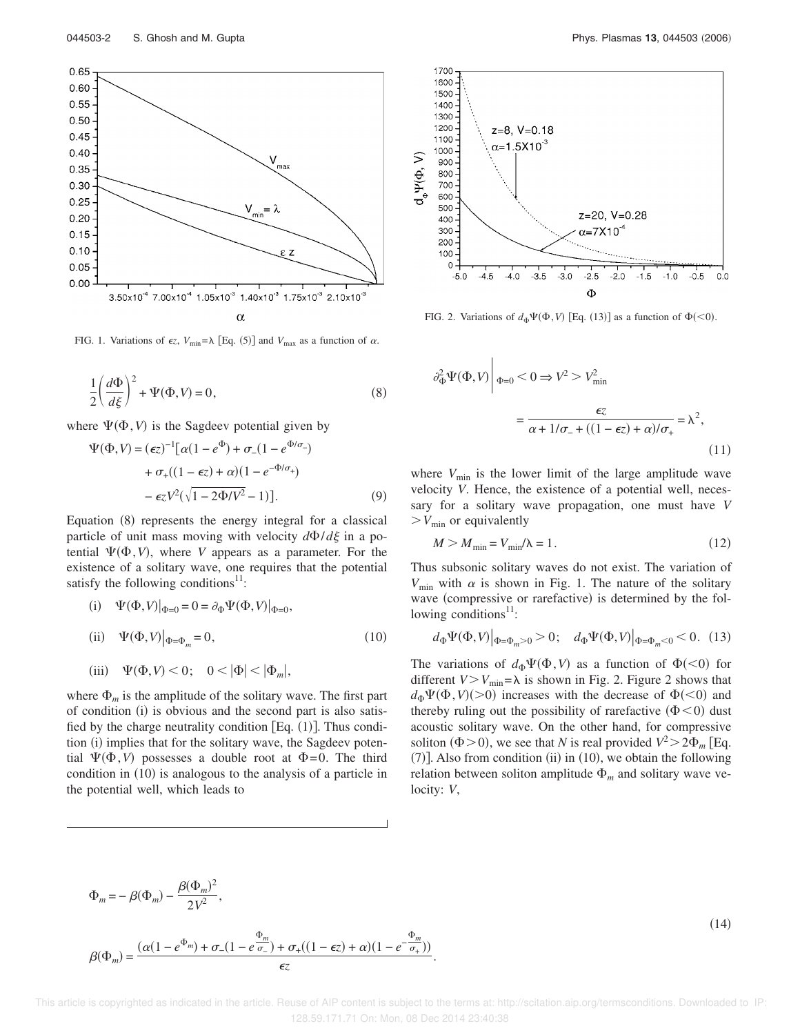

FIG. 1. Variations of  $\epsilon z$ ,  $V_{\text{min}} = \lambda$  [Eq. (5)] and  $V_{\text{max}}$  as a function of  $\alpha$ .

$$
\frac{1}{2} \left( \frac{d\Phi}{d\xi} \right)^2 + \Psi(\Phi, V) = 0,
$$
\n(8)

where  $\Psi(\Phi, V)$  is the Sagdeev potential given by

$$
\Psi(\Phi, V) = (\epsilon z)^{-1} [\alpha (1 - e^{\Phi}) + \sigma_{-}(1 - e^{\Phi/\sigma_{-}})\n+ \sigma_{+}((1 - \epsilon z) + \alpha)(1 - e^{-\Phi/\sigma_{+}})\n- \epsilon z V^{2}(\sqrt{1 - 2\Phi/V^{2}} - 1)].
$$
\n(9)

Equation (8) represents the energy integral for a classical particle of unit mass moving with velocity  $d\Phi/d\xi$  in a potential  $\Psi(\Phi, V)$ , where *V* appears as a parameter. For the existence of a solitary wave, one requires that the potential satisfy the following conditions $11$ :

(i) 
$$
\Psi(\Phi, V)|_{\Phi=0} = 0 = \partial_{\Phi} \Psi(\Phi, V)|_{\Phi=0},
$$
  
\n(ii) 
$$
\Psi(\Phi, V)|_{\Phi=\Phi_m} = 0,
$$
\n(10)

$$
\text{(iii)} \quad \Psi(\Phi, V) < 0; \quad 0 < |\Phi| < |\Phi_m|,
$$

where  $\Phi_m$  is the amplitude of the solitary wave. The first part of condition (i) is obvious and the second part is also satisfied by the charge neutrality condition  $[Eq. (1)]$ . Thus condition (i) implies that for the solitary wave, the Sagdeev potential  $\Psi(\Phi, V)$  possesses a double root at  $\Phi = 0$ . The third condition in (10) is analogous to the analysis of a particle in the potential well, which leads to



FIG. 2. Variations of  $d_{\Phi} \Psi(\Phi, V)$  [Eq. (13)] as a function of  $\Phi(\leq 0)$ .

$$
\partial_{\Phi}^2 \Psi(\Phi, V) \Big|_{\Phi=0} < 0 \qquad V^2 > V_{\text{min}}^2
$$

$$
= \frac{\epsilon z}{\alpha + 1/\sigma_- + ((1 - \epsilon z) + \alpha)/\sigma_+} = \lambda^2,
$$
\n(11)

where  $V_{\text{min}}$  is the lower limit of the large amplitude wave velocity *V*. Hence, the existence of a potential well, necessary for a solitary wave propagation, one must have *V*  $V_{\text{min}}$  or equivalently

$$
M > M_{\min} = V_{\min}/\lambda = 1. \tag{12}
$$

Thus subsonic solitary waves do not exist. The variation of  $V_{\text{min}}$  with  $\alpha$  is shown in Fig. 1. The nature of the solitary wave (compressive or rarefactive) is determined by the following conditions<sup>11</sup>:

$$
d_{\Phi}\Psi(\Phi, V)|_{\Phi=\Phi_m>0} > 0;
$$
  $d_{\Phi}\Psi(\Phi, V)|_{\Phi=\Phi_m<0} < 0.$  (13)

The variations of  $d_{\Phi} \Psi(\Phi, V)$  as a function of  $\Phi(\leq 0)$  for different  $V > V_{\text{min}} = \lambda$  is shown in Fig. 2. Figure 2 shows that  $d_{\Phi} \Psi(\Phi, V)$  (>0) increases with the decrease of  $\Phi$ (<0) and thereby ruling out the possibility of rarefactive  $(\Phi<0)$  dust acoustic solitary wave. On the other hand, for compressive soliton ( $\Phi$  > 0), we see that *N* is real provided  $V^2 > 2\Phi_m$  [Eq.  $(7)$ ]. Also from condition (ii) in (10), we obtain the following relation between soliton amplitude  $\Phi_m$  and solitary wave velocity: *V*,

$$
\Phi_m = -\beta(\Phi_m) - \frac{\beta(\Phi_m)^2}{2V^2},
$$
  

$$
\beta(\Phi_m) = \frac{(\alpha(1 - e^{\Phi_m}) + \sigma_-(1 - e^{\Phi_m}) + \sigma_+((1 - \epsilon z) + \alpha)(1 - e^{-\Phi_m})}{\epsilon z}
$$

 $(14)$ 

 This article is copyrighted as indicated in the article. Reuse of AIP content is subject to the terms at: http://scitation.aip.org/termsconditions. Downloaded to IP: 128.59.171.71 On: Mon, 08 Dec 2014 23:40:38

.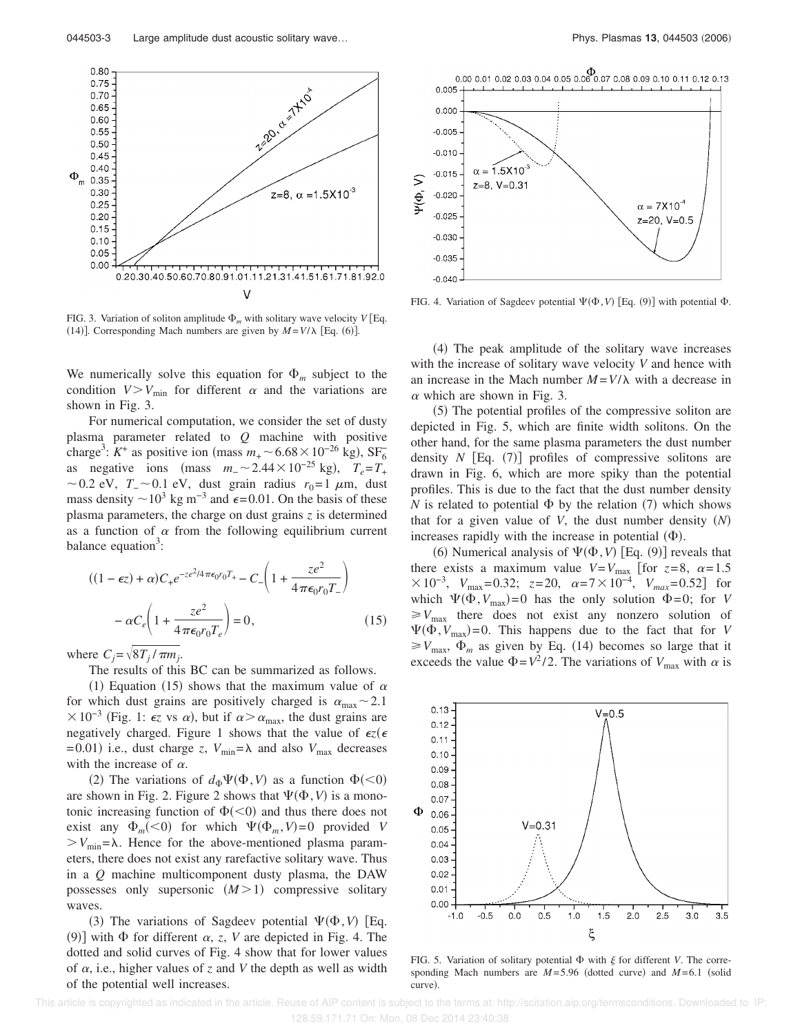

FIG. 3. Variation of soliton amplitude  $\Phi_m$  with solitary wave velocity  $V$  [Eq. (14)]. Corresponding Mach numbers are given by  $M = V/\lambda$  [Eq. (6)].

We numerically solve this equation for  $\Phi_m$  subject to the condition  $V > V_{\text{min}}$  for different  $\alpha$  and the variations are shown in Fig. 3.

For numerical computation, we consider the set of dusty plasma parameter related to *Q* machine with positive charge<sup>3</sup>:  $K^+$  as positive ion (mass  $m_+$  ~ 6.68 × 10<sup>-26</sup> kg), SF<sub>6</sub> as negative ions (mass  $m_-\sim 2.44 \times 10^{-25}$  kg),  $T_e = T_+$  $\sim$  0.2 eV, *T*<sub>−</sub>  $\sim$  0.1 eV, dust grain radius *r*<sub>0</sub>= 1 μm, dust mass density  $\sim 10^3$  kg m<sup>-3</sup> and  $\epsilon$ =0.01. On the basis of these plasma parameters, the charge on dust grains *z* is determined as a function of  $\alpha$  from the following equilibrium current balance equation<sup>3</sup>:

$$
((1 - \epsilon z) + \alpha)C_{+}e^{-z e^{2}/4\pi\epsilon_{0}r_{0}T_{+}} - C_{-}\left(1 + \frac{ze^{2}}{4\pi\epsilon_{0}r_{0}T_{-}}\right)
$$

$$
-\alpha C_{e}\left(1 + \frac{ze^{2}}{4\pi\epsilon_{0}r_{0}T_{e}}\right) = 0,
$$
(15)

where  $C_j = \sqrt{8T_j / \pi m_j}$ .

The results of this BC can be summarized as follows.

(1) Equation (15) shows that the maximum value of  $\alpha$ for which dust grains are positively charged is  $\alpha_{\text{max}} \sim 2.1$  $\times 10^{-3}$  (Fig. 1:  $\epsilon$ z vs  $\alpha$ ), but if  $\alpha > \alpha_{\text{max}}$ , the dust grains are negatively charged. Figure 1 shows that the value of  $\epsilon z(\epsilon)$  $= 0.01$ ) i.e., dust charge *z*,  $V_{\text{min}} = \lambda$  and also  $V_{\text{max}}$  decreases with the increase of  $\alpha$ .

(2) The variations of  $d_{\Phi} \Psi(\Phi, V)$  as a function  $\Phi(\leq 0)$ are shown in Fig. 2. Figure 2 shows that  $\Psi(\Phi, V)$  is a monotonic increasing function of  $\Phi(\leq 0)$  and thus there does not exist any  $\Phi_m(<0)$  for which  $\Psi(\Phi_m, V) = 0$  provided *V*  $V_{\text{min}}=\lambda$ . Hence for the above-mentioned plasma parameters, there does not exist any rarefactive solitary wave. Thus in a *Q* machine multicomponent dusty plasma, the DAW possesses only supersonic  $(M>1)$  compressive solitary waves.

(3) The variations of Sagdeev potential  $\Psi(\Phi, V)$  [Eq. (9)] with  $\Phi$  for different  $\alpha$ , *z*, *V* are depicted in Fig. 4. The dotted and solid curves of Fig. 4 show that for lower values of  $\alpha$ , i.e., higher values of *z* and *V* the depth as well as width of the potential well increases.



FIG. 4. Variation of Sagdeev potential  $\Psi(\Phi, V)$  [Eq. (9)] with potential  $\Phi$ .

(4) The peak amplitude of the solitary wave increases with the increase of solitary wave velocity *V* and hence with an increase in the Mach number  $M = V/\lambda$  with a decrease in  $\alpha$  which are shown in Fig. 3.

(5) The potential profiles of the compressive soliton are depicted in Fig. 5, which are finite width solitons. On the other hand, for the same plasma parameters the dust number density  $N$  [Eq.  $(7)$ ] profiles of compressive solitons are drawn in Fig. 6, which are more spiky than the potential profiles. This is due to the fact that the dust number density *N* is related to potential  $\Phi$  by the relation (7) which shows that for a given value of *V*, the dust number density  $(N)$ increases rapidly with the increase in potential  $(\Phi)$ .

(6) Numerical analysis of  $\Psi(\Phi, V)$  [Eq. (9)] reveals that there exists a maximum value  $V=V_{\text{max}}$  [for  $z=8$ ,  $\alpha=1.5$  $\times 10^{-3}$ ,  $V_{\text{max}} = 0.32$ ;  $z = 20$ ,  $\alpha = 7 \times 10^{-4}$ ,  $V_{\text{max}} = 0.52$  for which  $\Psi(\Phi, V_{\text{max}})=0$  has the only solution  $\Phi=0$ ; for *V*  $\geq V_{\text{max}}$  there does not exist any nonzero solution of  $\Psi(\Phi, V_{\text{max}}) = 0$ . This happens due to the fact that for *V*  $\geq V_{\text{max}}$ ,  $\Phi_m$  as given by Eq. (14) becomes so large that it exceeds the value  $\Phi = V^2/2$ . The variations of  $V_{\text{max}}$  with  $\alpha$  is



FIG. 5. Variation of solitary potential  $\Phi$  with  $\xi$  for different *V*. The corresponding Mach numbers are  $M=5.96$  (dotted curve) and  $M=6.1$  (solid curve).